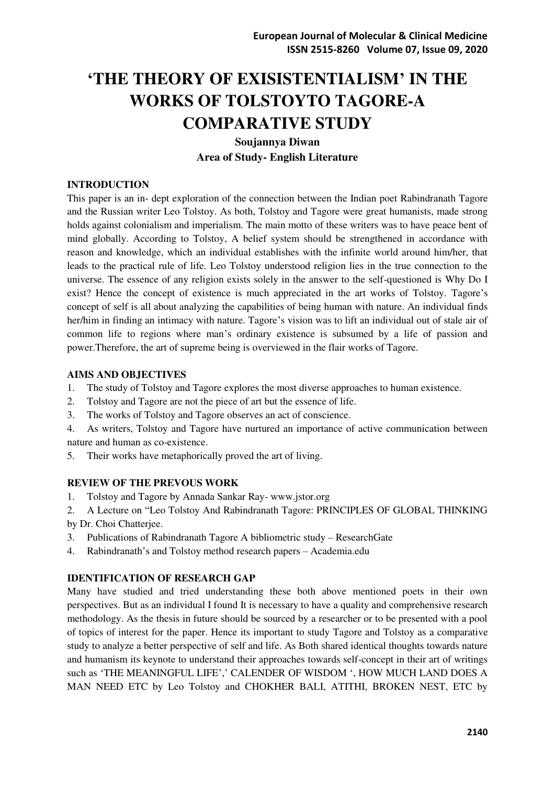# **'THE THEORY OF EXISISTENTIALISM' IN THE WORKS OF TOLSTOYTO TAGORE-A COMPARATIVE STUDY**

**Soujannya Diwan Area of Study- English Literature** 

# **INTRODUCTION**

This paper is an in- dept exploration of the connection between the Indian poet Rabindranath Tagore and the Russian writer Leo Tolstoy. As both, Tolstoy and Tagore were great humanists, made strong holds against colonialism and imperialism. The main motto of these writers was to have peace bent of mind globally. According to Tolstoy, A belief system should be strengthened in accordance with reason and knowledge, which an individual establishes with the infinite world around him/her, that leads to the practical rule of life. Leo Tolstoy understood religion lies in the true connection to the universe. The essence of any religion exists solely in the answer to the self-questioned is Why Do I exist? Hence the concept of existence is much appreciated in the art works of Tolstoy. Tagore's concept of self is all about analyzing the capabilities of being human with nature. An individual finds her/him in finding an intimacy with nature. Tagore's vision was to lift an individual out of stale air of common life to regions where man's ordinary existence is subsumed by a life of passion and power.Therefore, the art of supreme being is overviewed in the flair works of Tagore.

# **AIMS AND OBJECTIVES**

- 1. The study of Tolstoy and Tagore explores the most diverse approaches to human existence.
- 2. Tolstoy and Tagore are not the piece of art but the essence of life.
- 3. The works of Tolstoy and Tagore observes an act of conscience.
- 4. As writers, Tolstoy and Tagore have nurtured an importance of active communication between nature and human as co-existence.
- 5. Their works have metaphorically proved the art of living.

# **REVIEW OF THE PREVOUS WORK**

- 1. Tolstoy and Tagore by Annada Sankar Ray- [www.jstor.org](http://www.jstor.org/)
- 2. A Lecture on "Leo Tolstoy And Rabindranath Tagore: PRINCIPLES OF GLOBAL THINKING by Dr. Choi Chatterjee.
- 3. Publications of Rabindranath Tagore A bibliometric study ResearchGate
- 4. Rabindranath's and Tolstoy method research papers Academia.edu

# **IDENTIFICATION OF RESEARCH GAP**

Many have studied and tried understanding these both above mentioned poets in their own perspectives. But as an individual I found It is necessary to have a quality and comprehensive research methodology. As the thesis in future should be sourced by a researcher or to be presented with a pool of topics of interest for the paper. Hence its important to study Tagore and Tolstoy as a comparative study to analyze a better perspective of self and life. As Both shared identical thoughts towards nature and humanism its keynote to understand their approaches towards self-concept in their art of writings such as 'THE MEANINGFUL LIFE',' CALENDER OF WISDOM ', HOW MUCH LAND DOES A MAN NEED ETC by Leo Tolstoy and CHOKHER BALI, ATITHI, BROKEN NEST, ETC by